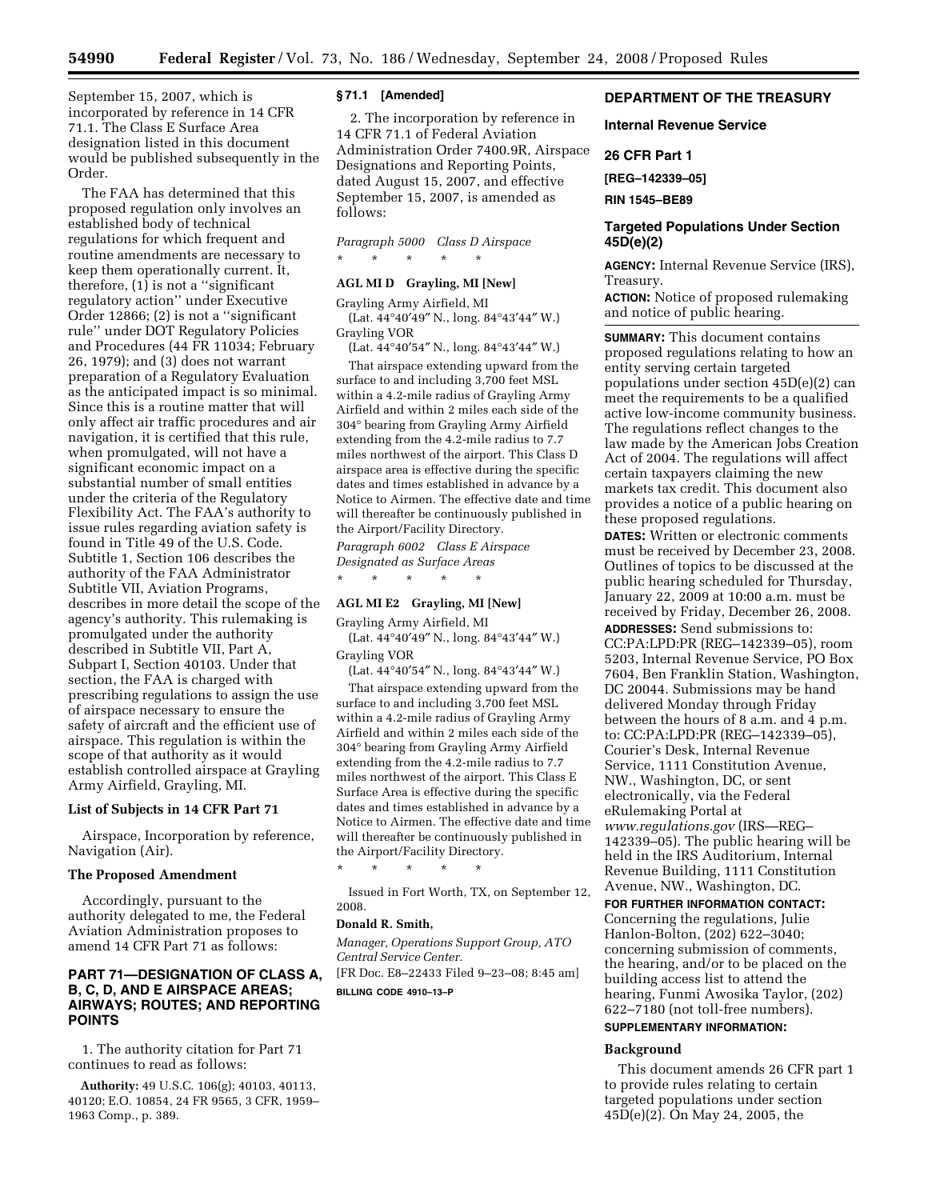September 15, 2007, which is incorporated by reference in 14 CFR 71.1. The Class E Surface Area designation listed in this document would be published subsequently in the Order.

The FAA has determined that this proposed regulation only involves an established body of technical regulations for which frequent and routine amendments are necessary to keep them operationally current. It, therefore, (1) is not a ''significant regulatory action'' under Executive Order 12866; (2) is not a ''significant rule'' under DOT Regulatory Policies and Procedures (44 FR 11034; February 26, 1979); and (3) does not warrant preparation of a Regulatory Evaluation as the anticipated impact is so minimal. Since this is a routine matter that will only affect air traffic procedures and air navigation, it is certified that this rule, when promulgated, will not have a significant economic impact on a substantial number of small entities under the criteria of the Regulatory Flexibility Act. The FAA's authority to issue rules regarding aviation safety is found in Title 49 of the U.S. Code. Subtitle 1, Section 106 describes the authority of the FAA Administrator Subtitle VII, Aviation Programs, describes in more detail the scope of the agency's authority. This rulemaking is promulgated under the authority described in Subtitle VII, Part A, Subpart I, Section 40103. Under that section, the FAA is charged with prescribing regulations to assign the use of airspace necessary to ensure the safety of aircraft and the efficient use of airspace. This regulation is within the scope of that authority as it would establish controlled airspace at Grayling Army Airfield, Grayling, MI.

#### **List of Subjects in 14 CFR Part 71**

Airspace, Incorporation by reference, Navigation (Air).

### **The Proposed Amendment**

Accordingly, pursuant to the authority delegated to me, the Federal Aviation Administration proposes to amend 14 CFR Part 71 as follows:

# **PART 71—DESIGNATION OF CLASS A, B, C, D, AND E AIRSPACE AREAS; AIRWAYS; ROUTES; AND REPORTING POINTS**

1. The authority citation for Part 71 continues to read as follows:

**Authority:** 49 U.S.C. 106(g); 40103, 40113, 40120; E.O. 10854, 24 FR 9565, 3 CFR, 1959– 1963 Comp., p. 389.

#### **§ 71.1 [Amended]**

2. The incorporation by reference in 14 CFR 71.1 of Federal Aviation Administration Order 7400.9R, Airspace Designations and Reporting Points, dated August 15, 2007, and effective September 15, 2007, is amended as follows:

*Paragraph 5000 Class D Airspace* 

### **AGL MI D Grayling, MI [New]**

\* \* \* \* \*

Grayling Army Airfield, MI (Lat. 44°40′49″ N., long. 84°43′44″ W.) Grayling VOR

(Lat. 44°40′54″ N., long. 84°43′44″ W.)

That airspace extending upward from the surface to and including 3,700 feet MSL within a 4.2-mile radius of Grayling Army Airfield and within 2 miles each side of the 304° bearing from Grayling Army Airfield extending from the 4.2-mile radius to 7.7 miles northwest of the airport. This Class D airspace area is effective during the specific dates and times established in advance by a Notice to Airmen. The effective date and time will thereafter be continuously published in the Airport/Facility Directory.

*Paragraph 6002 Class E Airspace Designated as Surface Areas* 

#### **AGL MI E2 Grayling, MI [New]**

\* \* \* \* \*

Grayling Army Airfield, MI

(Lat. 44°40′49″ N., long. 84°43′44″ W.) Grayling VOR (Lat. 44°40′54″ N., long. 84°43′44″ W.)

That airspace extending upward from the surface to and including 3,700 feet MSL within a 4.2-mile radius of Grayling Army Airfield and within 2 miles each side of the 304° bearing from Grayling Army Airfield extending from the 4.2-mile radius to 7.7 miles northwest of the airport. This Class E Surface Area is effective during the specific dates and times established in advance by a Notice to Airmen. The effective date and time will thereafter be continuously published in the Airport/Facility Directory.

\* \* \* \* \*

Issued in Fort Worth, TX, on September 12, 2008.

# **Donald R. Smith,**

*Manager, Operations Support Group, ATO Central Service Center.* 

[FR Doc. E8–22433 Filed 9–23–08; 8:45 am] **BILLING CODE 4910–13–P** 

# **DEPARTMENT OF THE TREASURY**

### **Internal Revenue Service**

**26 CFR Part 1** 

**[REG–142339–05]** 

**RIN 1545–BE89** 

# **Targeted Populations Under Section 45D(e)(2)**

**AGENCY:** Internal Revenue Service (IRS), Treasury.

**ACTION:** Notice of proposed rulemaking and notice of public hearing.

**SUMMARY:** This document contains proposed regulations relating to how an entity serving certain targeted populations under section 45D(e)(2) can meet the requirements to be a qualified active low-income community business. The regulations reflect changes to the law made by the American Jobs Creation Act of 2004. The regulations will affect certain taxpayers claiming the new markets tax credit. This document also provides a notice of a public hearing on these proposed regulations.

**DATES:** Written or electronic comments must be received by December 23, 2008. Outlines of topics to be discussed at the public hearing scheduled for Thursday, January 22, 2009 at 10:00 a.m. must be received by Friday, December 26, 2008. **ADDRESSES:** Send submissions to: CC:PA:LPD:PR (REG–142339–05), room 5203, Internal Revenue Service, PO Box 7604, Ben Franklin Station, Washington, DC 20044. Submissions may be hand delivered Monday through Friday between the hours of 8 a.m. and 4 p.m. to: CC:PA:LPD:PR (REG–142339–05), Courier's Desk, Internal Revenue Service, 1111 Constitution Avenue, NW., Washington, DC, or sent electronically, via the Federal eRulemaking Portal at *[www.regulations.gov](http://www.regulations.gov)* (IRS—REG– 142339–05). The public hearing will be held in the IRS Auditorium, Internal Revenue Building, 1111 Constitution Avenue, NW., Washington, DC.

# **FOR FURTHER INFORMATION CONTACT:**

Concerning the regulations, Julie Hanlon-Bolton, (202) 622–3040; concerning submission of comments, the hearing, and/or to be placed on the building access list to attend the hearing, Funmi Awosika Taylor, (202) 622–7180 (not toll-free numbers). **SUPPLEMENTARY INFORMATION:** 

# **Background**

This document amends 26 CFR part 1 to provide rules relating to certain targeted populations under section 45D(e)(2). On May 24, 2005, the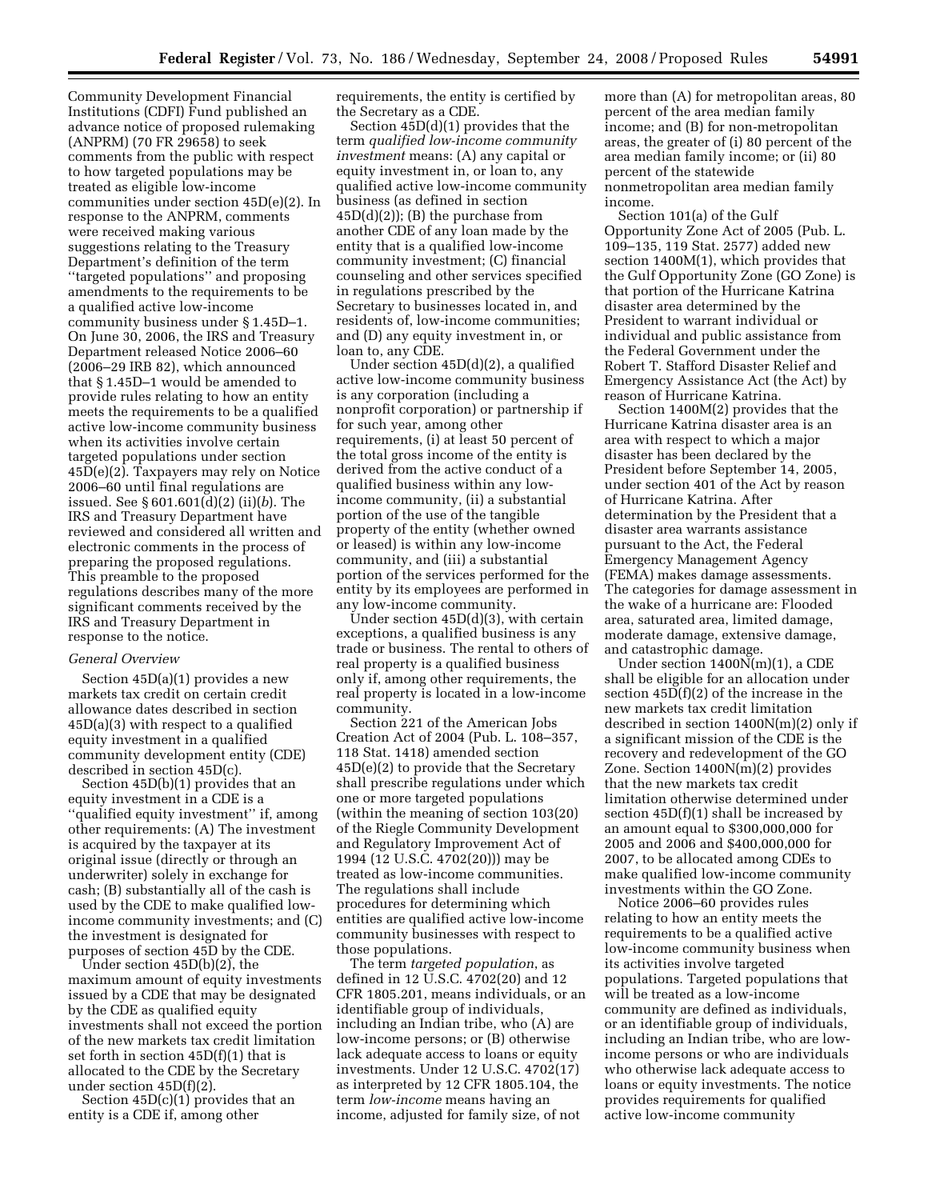Community Development Financial Institutions (CDFI) Fund published an advance notice of proposed rulemaking (ANPRM) (70 FR 29658) to seek comments from the public with respect to how targeted populations may be treated as eligible low-income communities under section 45D(e)(2). In response to the ANPRM, comments were received making various suggestions relating to the Treasury Department's definition of the term ''targeted populations'' and proposing amendments to the requirements to be a qualified active low-income community business under § 1.45D–1. On June 30, 2006, the IRS and Treasury Department released Notice 2006–60 (2006–29 IRB 82), which announced that § 1.45D–1 would be amended to provide rules relating to how an entity meets the requirements to be a qualified active low-income community business when its activities involve certain targeted populations under section 45D(e)(2). Taxpayers may rely on Notice 2006–60 until final regulations are issued. See § 601.601(d)(2) (ii)(*b*). The IRS and Treasury Department have reviewed and considered all written and electronic comments in the process of preparing the proposed regulations. This preamble to the proposed regulations describes many of the more significant comments received by the IRS and Treasury Department in response to the notice.

### *General Overview*

Section 45D(a)(1) provides a new markets tax credit on certain credit allowance dates described in section  $45D(a)(3)$  with respect to a qualified equity investment in a qualified community development entity (CDE) described in section 45D(c).

Section 45D(b)(1) provides that an equity investment in a CDE is a ''qualified equity investment'' if, among other requirements: (A) The investment is acquired by the taxpayer at its original issue (directly or through an underwriter) solely in exchange for cash; (B) substantially all of the cash is used by the CDE to make qualified lowincome community investments; and (C) the investment is designated for purposes of section 45D by the CDE.

Under section 45D(b)(2), the maximum amount of equity investments issued by a CDE that may be designated by the CDE as qualified equity investments shall not exceed the portion of the new markets tax credit limitation set forth in section 45D(f)(1) that is allocated to the CDE by the Secretary under section 45D(f)(2).

Section 45D(c)(1) provides that an entity is a CDE if, among other

requirements, the entity is certified by the Secretary as a CDE.

Section 45D(d)(1) provides that the term *qualified low-income community investment* means: (A) any capital or equity investment in, or loan to, any qualified active low-income community business (as defined in section  $45D(d)(2)$ ; (B) the purchase from another CDE of any loan made by the entity that is a qualified low-income community investment; (C) financial counseling and other services specified in regulations prescribed by the Secretary to businesses located in, and residents of, low-income communities; and (D) any equity investment in, or loan to, any CDE.

Under section 45D(d)(2), a qualified active low-income community business is any corporation (including a nonprofit corporation) or partnership if for such year, among other requirements, (i) at least 50 percent of the total gross income of the entity is derived from the active conduct of a qualified business within any lowincome community, (ii) a substantial portion of the use of the tangible property of the entity (whether owned or leased) is within any low-income community, and (iii) a substantial portion of the services performed for the entity by its employees are performed in any low-income community.

Under section 45D(d)(3), with certain exceptions, a qualified business is any trade or business. The rental to others of real property is a qualified business only if, among other requirements, the real property is located in a low-income community.

Section 221 of the American Jobs Creation Act of 2004 (Pub. L. 108–357, 118 Stat. 1418) amended section 45D(e)(2) to provide that the Secretary shall prescribe regulations under which one or more targeted populations (within the meaning of section 103(20) of the Riegle Community Development and Regulatory Improvement Act of 1994 (12 U.S.C. 4702(20))) may be treated as low-income communities. The regulations shall include procedures for determining which entities are qualified active low-income community businesses with respect to those populations.

The term *targeted population*, as defined in 12 U.S.C. 4702(20) and 12 CFR 1805.201, means individuals, or an identifiable group of individuals, including an Indian tribe, who (A) are low-income persons; or (B) otherwise lack adequate access to loans or equity investments. Under 12 U.S.C. 4702(17) as interpreted by 12 CFR 1805.104, the term *low-income* means having an income, adjusted for family size, of not

more than (A) for metropolitan areas, 80 percent of the area median family income; and (B) for non-metropolitan areas, the greater of (i) 80 percent of the area median family income; or (ii) 80 percent of the statewide nonmetropolitan area median family income.

Section 101(a) of the Gulf Opportunity Zone Act of 2005 (Pub. L. 109–135, 119 Stat. 2577) added new section 1400M(1), which provides that the Gulf Opportunity Zone (GO Zone) is that portion of the Hurricane Katrina disaster area determined by the President to warrant individual or individual and public assistance from the Federal Government under the Robert T. Stafford Disaster Relief and Emergency Assistance Act (the Act) by reason of Hurricane Katrina.

Section 1400M(2) provides that the Hurricane Katrina disaster area is an area with respect to which a major disaster has been declared by the President before September 14, 2005, under section 401 of the Act by reason of Hurricane Katrina. After determination by the President that a disaster area warrants assistance pursuant to the Act, the Federal Emergency Management Agency (FEMA) makes damage assessments. The categories for damage assessment in the wake of a hurricane are: Flooded area, saturated area, limited damage, moderate damage, extensive damage, and catastrophic damage.

Under section  $1400\mathrm{N(m)}(1)$ , a CDE shall be eligible for an allocation under section 45D(f)(2) of the increase in the new markets tax credit limitation described in section 1400N(m)(2) only if a significant mission of the CDE is the recovery and redevelopment of the GO Zone. Section 1400N(m)(2) provides that the new markets tax credit limitation otherwise determined under section 45D(f)(1) shall be increased by an amount equal to \$300,000,000 for 2005 and 2006 and \$400,000,000 for 2007, to be allocated among CDEs to make qualified low-income community investments within the GO Zone.

Notice 2006–60 provides rules relating to how an entity meets the requirements to be a qualified active low-income community business when its activities involve targeted populations. Targeted populations that will be treated as a low-income community are defined as individuals, or an identifiable group of individuals, including an Indian tribe, who are lowincome persons or who are individuals who otherwise lack adequate access to loans or equity investments. The notice provides requirements for qualified active low-income community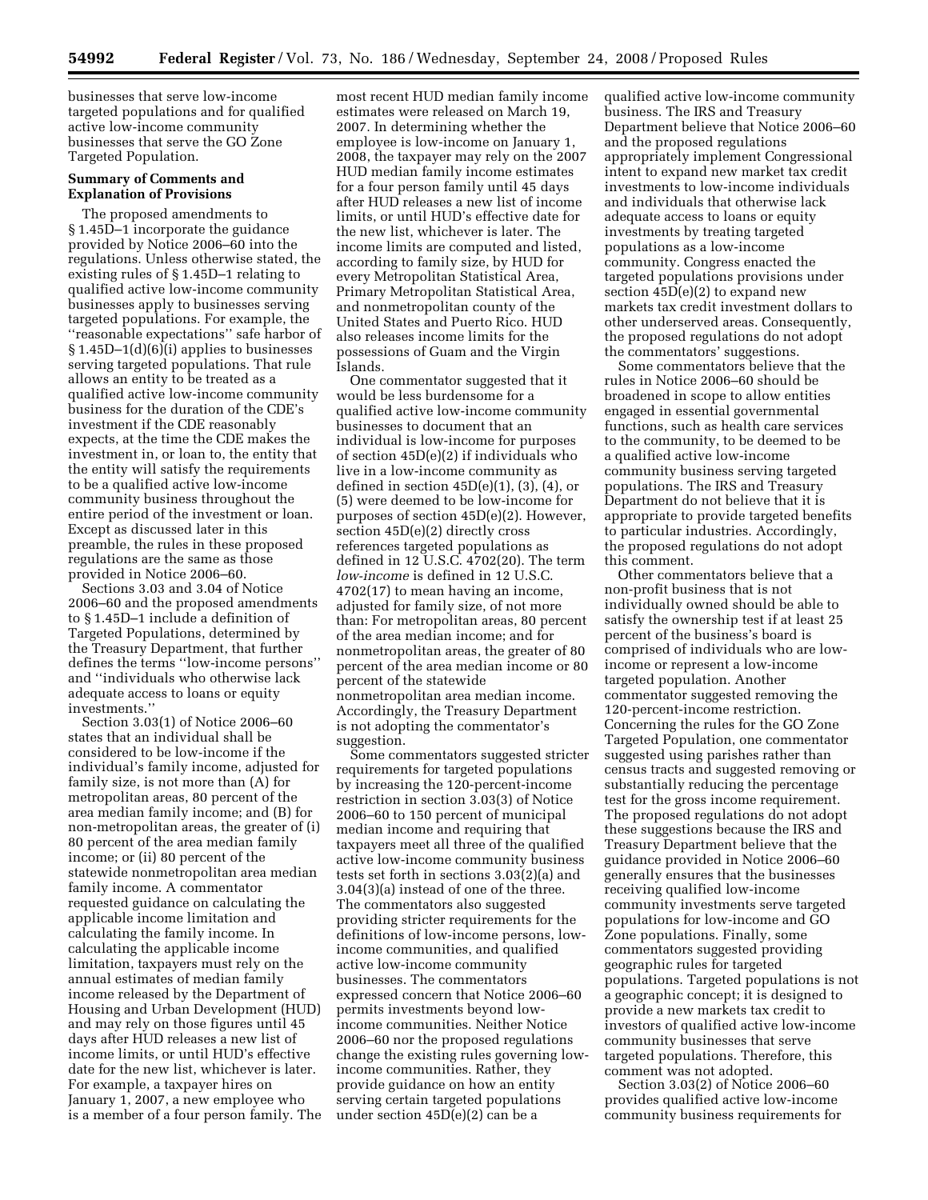businesses that serve low-income targeted populations and for qualified active low-income community businesses that serve the GO Zone Targeted Population.

### **Summary of Comments and Explanation of Provisions**

The proposed amendments to § 1.45D–1 incorporate the guidance provided by Notice 2006–60 into the regulations. Unless otherwise stated, the existing rules of § 1.45D–1 relating to qualified active low-income community businesses apply to businesses serving targeted populations. For example, the ''reasonable expectations'' safe harbor of § 1.45D-1(d)(6)(i) applies to businesses serving targeted populations. That rule allows an entity to be treated as a qualified active low-income community business for the duration of the CDE's investment if the CDE reasonably expects, at the time the CDE makes the investment in, or loan to, the entity that the entity will satisfy the requirements to be a qualified active low-income community business throughout the entire period of the investment or loan. Except as discussed later in this preamble, the rules in these proposed regulations are the same as those provided in Notice 2006–60.

Sections 3.03 and 3.04 of Notice 2006–60 and the proposed amendments to § 1.45D–1 include a definition of Targeted Populations, determined by the Treasury Department, that further defines the terms ''low-income persons'' and ''individuals who otherwise lack adequate access to loans or equity investments.''

Section 3.03(1) of Notice 2006–60 states that an individual shall be considered to be low-income if the individual's family income, adjusted for family size, is not more than (A) for metropolitan areas, 80 percent of the area median family income; and (B) for non-metropolitan areas, the greater of (i) 80 percent of the area median family income; or (ii) 80 percent of the statewide nonmetropolitan area median family income. A commentator requested guidance on calculating the applicable income limitation and calculating the family income. In calculating the applicable income limitation, taxpayers must rely on the annual estimates of median family income released by the Department of Housing and Urban Development (HUD) and may rely on those figures until 45 days after HUD releases a new list of income limits, or until HUD's effective date for the new list, whichever is later. For example, a taxpayer hires on January 1, 2007, a new employee who is a member of a four person family. The

most recent HUD median family income estimates were released on March 19, 2007. In determining whether the employee is low-income on January 1, 2008, the taxpayer may rely on the 2007 HUD median family income estimates for a four person family until 45 days after HUD releases a new list of income limits, or until HUD's effective date for the new list, whichever is later. The income limits are computed and listed, according to family size, by HUD for every Metropolitan Statistical Area, Primary Metropolitan Statistical Area, and nonmetropolitan county of the United States and Puerto Rico. HUD also releases income limits for the possessions of Guam and the Virgin Islands.

One commentator suggested that it would be less burdensome for a qualified active low-income community businesses to document that an individual is low-income for purposes of section 45D(e)(2) if individuals who live in a low-income community as defined in section  $45D(e)(1)$ ,  $(3)$ ,  $(4)$ , or (5) were deemed to be low-income for purposes of section 45D(e)(2). However, section 45D(e)(2) directly cross references targeted populations as defined in 12 U.S.C. 4702(20). The term *low-income* is defined in 12 U.S.C. 4702(17) to mean having an income, adjusted for family size, of not more than: For metropolitan areas, 80 percent of the area median income; and for nonmetropolitan areas, the greater of 80 percent of the area median income or 80 percent of the statewide nonmetropolitan area median income. Accordingly, the Treasury Department is not adopting the commentator's suggestion.

Some commentators suggested stricter requirements for targeted populations by increasing the 120-percent-income restriction in section 3.03(3) of Notice 2006–60 to 150 percent of municipal median income and requiring that taxpayers meet all three of the qualified active low-income community business tests set forth in sections 3.03(2)(a) and 3.04(3)(a) instead of one of the three. The commentators also suggested providing stricter requirements for the definitions of low-income persons, lowincome communities, and qualified active low-income community businesses. The commentators expressed concern that Notice 2006–60 permits investments beyond lowincome communities. Neither Notice 2006–60 nor the proposed regulations change the existing rules governing lowincome communities. Rather, they provide guidance on how an entity serving certain targeted populations under section 45D(e)(2) can be a

qualified active low-income community business. The IRS and Treasury Department believe that Notice 2006–60 and the proposed regulations appropriately implement Congressional intent to expand new market tax credit investments to low-income individuals and individuals that otherwise lack adequate access to loans or equity investments by treating targeted populations as a low-income community. Congress enacted the targeted populations provisions under section  $45D(e)(2)$  to expand new markets tax credit investment dollars to other underserved areas. Consequently, the proposed regulations do not adopt the commentators' suggestions.

Some commentators believe that the rules in Notice 2006–60 should be broadened in scope to allow entities engaged in essential governmental functions, such as health care services to the community, to be deemed to be a qualified active low-income community business serving targeted populations. The IRS and Treasury Department do not believe that it is appropriate to provide targeted benefits to particular industries. Accordingly, the proposed regulations do not adopt this comment.

Other commentators believe that a non-profit business that is not individually owned should be able to satisfy the ownership test if at least 25 percent of the business's board is comprised of individuals who are lowincome or represent a low-income targeted population. Another commentator suggested removing the 120-percent-income restriction. Concerning the rules for the GO Zone Targeted Population, one commentator suggested using parishes rather than census tracts and suggested removing or substantially reducing the percentage test for the gross income requirement. The proposed regulations do not adopt these suggestions because the IRS and Treasury Department believe that the guidance provided in Notice 2006–60 generally ensures that the businesses receiving qualified low-income community investments serve targeted populations for low-income and GO Zone populations. Finally, some commentators suggested providing geographic rules for targeted populations. Targeted populations is not a geographic concept; it is designed to provide a new markets tax credit to investors of qualified active low-income community businesses that serve targeted populations. Therefore, this comment was not adopted.

Section 3.03(2) of Notice 2006–60 provides qualified active low-income community business requirements for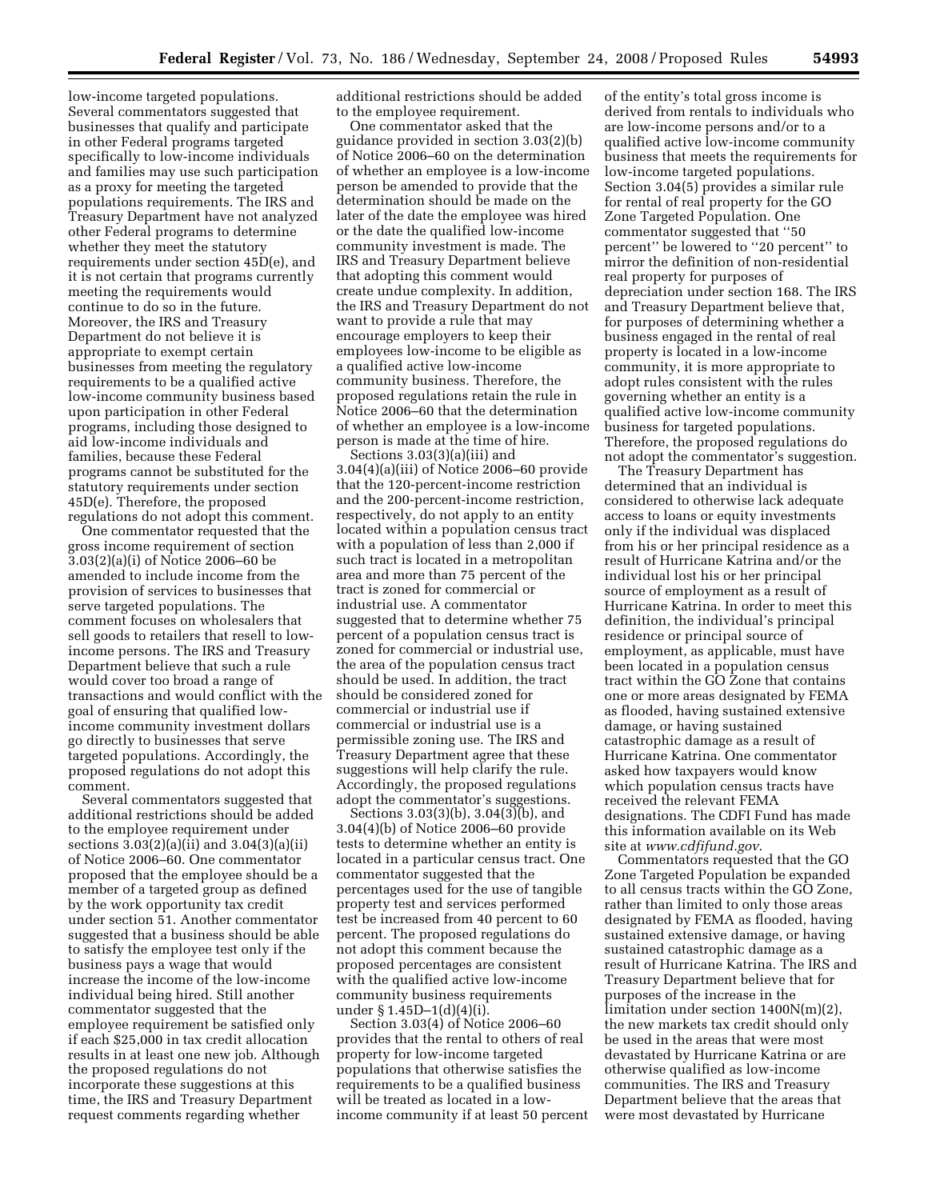low-income targeted populations. Several commentators suggested that businesses that qualify and participate in other Federal programs targeted specifically to low-income individuals and families may use such participation as a proxy for meeting the targeted populations requirements. The IRS and Treasury Department have not analyzed other Federal programs to determine whether they meet the statutory requirements under section 45D(e), and it is not certain that programs currently meeting the requirements would continue to do so in the future. Moreover, the IRS and Treasury Department do not believe it is appropriate to exempt certain businesses from meeting the regulatory requirements to be a qualified active low-income community business based upon participation in other Federal programs, including those designed to aid low-income individuals and families, because these Federal programs cannot be substituted for the statutory requirements under section 45D(e). Therefore, the proposed regulations do not adopt this comment.

One commentator requested that the gross income requirement of section 3.03(2)(a)(i) of Notice 2006–60 be amended to include income from the provision of services to businesses that serve targeted populations. The comment focuses on wholesalers that sell goods to retailers that resell to lowincome persons. The IRS and Treasury Department believe that such a rule would cover too broad a range of transactions and would conflict with the goal of ensuring that qualified lowincome community investment dollars go directly to businesses that serve targeted populations. Accordingly, the proposed regulations do not adopt this comment.

Several commentators suggested that additional restrictions should be added to the employee requirement under sections  $3.03(2)(a)(ii)$  and  $3.04(3)(a)(ii)$ of Notice 2006–60. One commentator proposed that the employee should be a member of a targeted group as defined by the work opportunity tax credit under section 51. Another commentator suggested that a business should be able to satisfy the employee test only if the business pays a wage that would increase the income of the low-income individual being hired. Still another commentator suggested that the employee requirement be satisfied only if each \$25,000 in tax credit allocation results in at least one new job. Although the proposed regulations do not incorporate these suggestions at this time, the IRS and Treasury Department request comments regarding whether

additional restrictions should be added to the employee requirement.

One commentator asked that the guidance provided in section 3.03(2)(b) of Notice 2006–60 on the determination of whether an employee is a low-income person be amended to provide that the determination should be made on the later of the date the employee was hired or the date the qualified low-income community investment is made. The IRS and Treasury Department believe that adopting this comment would create undue complexity. In addition, the IRS and Treasury Department do not want to provide a rule that may encourage employers to keep their employees low-income to be eligible as a qualified active low-income community business. Therefore, the proposed regulations retain the rule in Notice 2006–60 that the determination of whether an employee is a low-income person is made at the time of hire.

Sections 3.03(3)(a)(iii) and 3.04(4)(a)(iii) of Notice 2006–60 provide that the 120-percent-income restriction and the 200-percent-income restriction, respectively, do not apply to an entity located within a population census tract with a population of less than 2,000 if such tract is located in a metropolitan area and more than 75 percent of the tract is zoned for commercial or industrial use. A commentator suggested that to determine whether 75 percent of a population census tract is zoned for commercial or industrial use, the area of the population census tract should be used. In addition, the tract should be considered zoned for commercial or industrial use if commercial or industrial use is a permissible zoning use. The IRS and Treasury Department agree that these suggestions will help clarify the rule. Accordingly, the proposed regulations adopt the commentator's suggestions.

Sections 3.03(3)(b), 3.04(3)(b), and 3.04(4)(b) of Notice 2006–60 provide tests to determine whether an entity is located in a particular census tract. One commentator suggested that the percentages used for the use of tangible property test and services performed test be increased from 40 percent to 60 percent. The proposed regulations do not adopt this comment because the proposed percentages are consistent with the qualified active low-income community business requirements under § 1.45D–1(d)(4)(i).

Section 3.03(4) of Notice 2006–60 provides that the rental to others of real property for low-income targeted populations that otherwise satisfies the requirements to be a qualified business will be treated as located in a lowincome community if at least 50 percent

of the entity's total gross income is derived from rentals to individuals who are low-income persons and/or to a qualified active low-income community business that meets the requirements for low-income targeted populations. Section 3.04(5) provides a similar rule for rental of real property for the GO Zone Targeted Population. One commentator suggested that ''50 percent'' be lowered to ''20 percent'' to mirror the definition of non-residential real property for purposes of depreciation under section 168. The IRS and Treasury Department believe that, for purposes of determining whether a business engaged in the rental of real property is located in a low-income community, it is more appropriate to adopt rules consistent with the rules governing whether an entity is a qualified active low-income community business for targeted populations. Therefore, the proposed regulations do not adopt the commentator's suggestion.

The Treasury Department has determined that an individual is considered to otherwise lack adequate access to loans or equity investments only if the individual was displaced from his or her principal residence as a result of Hurricane Katrina and/or the individual lost his or her principal source of employment as a result of Hurricane Katrina. In order to meet this definition, the individual's principal residence or principal source of employment, as applicable, must have been located in a population census tract within the GO Zone that contains one or more areas designated by FEMA as flooded, having sustained extensive damage, or having sustained catastrophic damage as a result of Hurricane Katrina. One commentator asked how taxpayers would know which population census tracts have received the relevant FEMA designations. The CDFI Fund has made this information available on its Web site at *[www.cdfifund.gov](http://www.cdfifund.gov)*.

Commentators requested that the GO Zone Targeted Population be expanded to all census tracts within the GO Zone, rather than limited to only those areas designated by FEMA as flooded, having sustained extensive damage, or having sustained catastrophic damage as a result of Hurricane Katrina. The IRS and Treasury Department believe that for purposes of the increase in the limitation under section 1400N(m)(2), the new markets tax credit should only be used in the areas that were most devastated by Hurricane Katrina or are otherwise qualified as low-income communities. The IRS and Treasury Department believe that the areas that were most devastated by Hurricane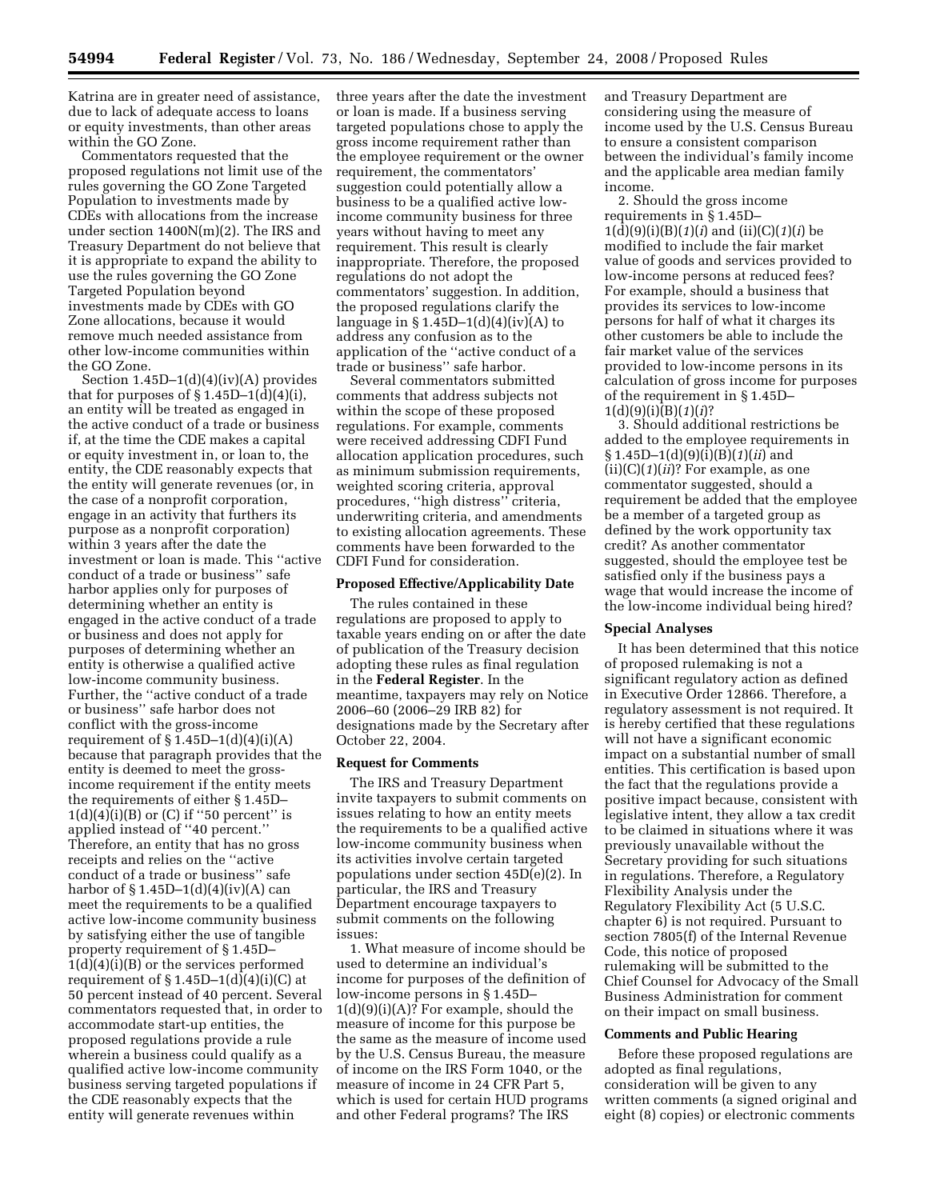Katrina are in greater need of assistance, due to lack of adequate access to loans or equity investments, than other areas within the GO Zone.

Commentators requested that the proposed regulations not limit use of the rules governing the GO Zone Targeted Population to investments made by CDEs with allocations from the increase under section 1400N(m)(2). The IRS and Treasury Department do not believe that it is appropriate to expand the ability to use the rules governing the GO Zone Targeted Population beyond investments made by CDEs with GO Zone allocations, because it would remove much needed assistance from other low-income communities within the GO Zone.

Section  $1.45D-1(d)(4)(iv)(A)$  provides that for purposes of  $\S 1.45D-1(d)(4)(i)$ , an entity will be treated as engaged in the active conduct of a trade or business if, at the time the CDE makes a capital or equity investment in, or loan to, the entity, the CDE reasonably expects that the entity will generate revenues (or, in the case of a nonprofit corporation, engage in an activity that furthers its purpose as a nonprofit corporation) within 3 years after the date the investment or loan is made. This ''active conduct of a trade or business'' safe harbor applies only for purposes of determining whether an entity is engaged in the active conduct of a trade or business and does not apply for purposes of determining whether an entity is otherwise a qualified active low-income community business. Further, the ''active conduct of a trade or business'' safe harbor does not conflict with the gross-income requirement of  $\S 1.45D-1(d)(4)(i)(A)$ because that paragraph provides that the entity is deemed to meet the grossincome requirement if the entity meets the requirements of either § 1.45D–  $1(d)(4)(i)(B)$  or (C) if "50 percent" is applied instead of ''40 percent.'' Therefore, an entity that has no gross receipts and relies on the ''active conduct of a trade or business'' safe harbor of  $\S 1.45D-1(d)(4)(iv)(A)$  can meet the requirements to be a qualified active low-income community business by satisfying either the use of tangible property requirement of § 1.45D–  $1(d)(4)(i)(B)$  or the services performed requirement of  $\S 1.45D-1(d)(4)(i)(C)$  at 50 percent instead of 40 percent. Several commentators requested that, in order to accommodate start-up entities, the proposed regulations provide a rule wherein a business could qualify as a qualified active low-income community business serving targeted populations if the CDE reasonably expects that the entity will generate revenues within

three years after the date the investment or loan is made. If a business serving targeted populations chose to apply the gross income requirement rather than the employee requirement or the owner requirement, the commentators' suggestion could potentially allow a business to be a qualified active lowincome community business for three years without having to meet any requirement. This result is clearly inappropriate. Therefore, the proposed regulations do not adopt the commentators' suggestion. In addition, the proposed regulations clarify the language in  $\S 1.45D-1(d)(4)(iv)(A)$  to address any confusion as to the application of the ''active conduct of a trade or business'' safe harbor.

Several commentators submitted comments that address subjects not within the scope of these proposed regulations. For example, comments were received addressing CDFI Fund allocation application procedures, such as minimum submission requirements, weighted scoring criteria, approval procedures, ''high distress'' criteria, underwriting criteria, and amendments to existing allocation agreements. These comments have been forwarded to the CDFI Fund for consideration.

### **Proposed Effective/Applicability Date**

The rules contained in these regulations are proposed to apply to taxable years ending on or after the date of publication of the Treasury decision adopting these rules as final regulation in the **Federal Register**. In the meantime, taxpayers may rely on Notice 2006–60 (2006–29 IRB 82) for designations made by the Secretary after October 22, 2004.

#### **Request for Comments**

The IRS and Treasury Department invite taxpayers to submit comments on issues relating to how an entity meets the requirements to be a qualified active low-income community business when its activities involve certain targeted populations under section 45D(e)(2). In particular, the IRS and Treasury Department encourage taxpayers to submit comments on the following issues:

1. What measure of income should be used to determine an individual's income for purposes of the definition of low-income persons in § 1.45D– 1(d)(9)(i)(A)? For example, should the measure of income for this purpose be the same as the measure of income used by the U.S. Census Bureau, the measure of income on the IRS Form 1040, or the measure of income in 24 CFR Part 5, which is used for certain HUD programs and other Federal programs? The IRS

and Treasury Department are considering using the measure of income used by the U.S. Census Bureau to ensure a consistent comparison between the individual's family income and the applicable area median family income.

2. Should the gross income requirements in § 1.45D– 1(d)(9)(i)(B)(*1*)(*i*) and (ii)(C)(*1*)(*i*) be modified to include the fair market value of goods and services provided to low-income persons at reduced fees? For example, should a business that provides its services to low-income persons for half of what it charges its other customers be able to include the fair market value of the services provided to low-income persons in its calculation of gross income for purposes of the requirement in § 1.45D– 1(d)(9)(i)(B)(*1*)(*i*)?

3. Should additional restrictions be added to the employee requirements in § 1.45D–1(d)(9)(i)(B)(*1*)(*ii*) and (ii)(C)(*1*)(*ii*)? For example, as one commentator suggested, should a requirement be added that the employee be a member of a targeted group as defined by the work opportunity tax credit? As another commentator suggested, should the employee test be satisfied only if the business pays a wage that would increase the income of the low-income individual being hired?

#### **Special Analyses**

It has been determined that this notice of proposed rulemaking is not a significant regulatory action as defined in Executive Order 12866. Therefore, a regulatory assessment is not required. It is hereby certified that these regulations will not have a significant economic impact on a substantial number of small entities. This certification is based upon the fact that the regulations provide a positive impact because, consistent with legislative intent, they allow a tax credit to be claimed in situations where it was previously unavailable without the Secretary providing for such situations in regulations. Therefore, a Regulatory Flexibility Analysis under the Regulatory Flexibility Act (5 U.S.C. chapter 6) is not required. Pursuant to section 7805(f) of the Internal Revenue Code, this notice of proposed rulemaking will be submitted to the Chief Counsel for Advocacy of the Small Business Administration for comment on their impact on small business.

#### **Comments and Public Hearing**

Before these proposed regulations are adopted as final regulations, consideration will be given to any written comments (a signed original and eight (8) copies) or electronic comments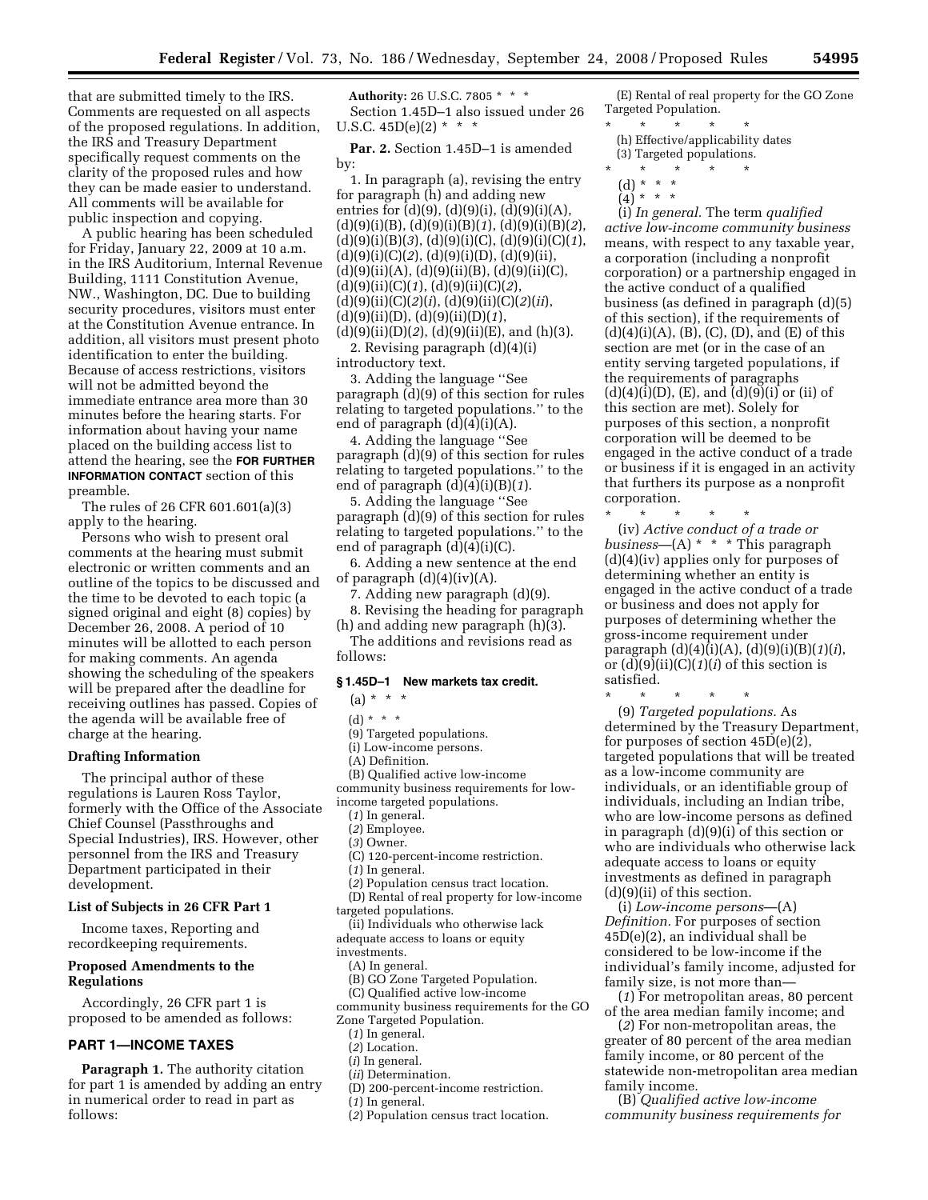that are submitted timely to the IRS. Comments are requested on all aspects of the proposed regulations. In addition, the IRS and Treasury Department specifically request comments on the clarity of the proposed rules and how they can be made easier to understand. All comments will be available for public inspection and copying.

A public hearing has been scheduled for Friday, January 22, 2009 at 10 a.m. in the IRS Auditorium, Internal Revenue Building, 1111 Constitution Avenue, NW., Washington, DC. Due to building security procedures, visitors must enter at the Constitution Avenue entrance. In addition, all visitors must present photo identification to enter the building. Because of access restrictions, visitors will not be admitted beyond the immediate entrance area more than 30 minutes before the hearing starts. For information about having your name placed on the building access list to attend the hearing, see the **FOR FURTHER INFORMATION CONTACT** section of this preamble.

The rules of 26 CFR 601.601(a)(3) apply to the hearing.

Persons who wish to present oral comments at the hearing must submit electronic or written comments and an outline of the topics to be discussed and the time to be devoted to each topic (a signed original and eight (8) copies) by December 26, 2008. A period of 10 minutes will be allotted to each person for making comments. An agenda showing the scheduling of the speakers will be prepared after the deadline for receiving outlines has passed. Copies of the agenda will be available free of charge at the hearing.

### **Drafting Information**

The principal author of these regulations is Lauren Ross Taylor, formerly with the Office of the Associate Chief Counsel (Passthroughs and Special Industries), IRS. However, other personnel from the IRS and Treasury Department participated in their development.

### **List of Subjects in 26 CFR Part 1**

Income taxes, Reporting and recordkeeping requirements.

# **Proposed Amendments to the Regulations**

Accordingly, 26 CFR part 1 is proposed to be amended as follows:

### **PART 1—INCOME TAXES**

**Paragraph 1.** The authority citation for part 1 is amended by adding an entry in numerical order to read in part as follows:

**Authority:** 26 U.S.C. 7805 \* \* \* Section 1.45D–1 also issued under 26 U.S.C.  $45D(e)(2) * * *$ 

Par. 2. Section 1.45D-1 is amended by:

1. In paragraph (a), revising the entry for paragraph (h) and adding new entries for  $(d)(9)$ ,  $(d)(9)(i)$ ,  $(d)(9)(i)(A)$ , (d)(9)(i)(B), (d)(9)(i)(B)(*1*), (d)(9)(i)(B)(*2*), (d)(9)(i)(B)(*3*), (d)(9)(i)(C), (d)(9)(i)(C)(*1*), (d)(9)(i)(C)(*2*), (d)(9)(i)(D), (d)(9)(ii),  $(d)(9)(ii)(A), (d)(9)(ii)(B), (d)(9)(ii)(C),$ (d)(9)(ii)(C)(*1*), (d)(9)(ii)(C)(*2*), (d)(9)(ii)(C)(*2*)(*i*), (d)(9)(ii)(C)(*2*)(*ii*), (d)(9)(ii)(D), (d)(9)(ii)(D)(*1*), (d)(9)(ii)(D)(*2*), (d)(9)(ii)(E), and (h)(3).

2. Revising paragraph (d)(4)(i) introductory text.

3. Adding the language ''See paragraph (d)(9) of this section for rules relating to targeted populations.'' to the end of paragraph (d)(4)(i)(A).

4. Adding the language ''See paragraph (d)(9) of this section for rules relating to targeted populations.'' to the end of paragraph (d)(4)(i)(B)(*1*).

5. Adding the language ''See paragraph (d)(9) of this section for rules relating to targeted populations.'' to the end of paragraph (d)(4)(i)(C).

6. Adding a new sentence at the end of paragraph  $(d)(4)(iv)(A)$ .

7. Adding new paragraph (d)(9).

8. Revising the heading for paragraph (h) and adding new paragraph (h)(3). The additions and revisions read as

follows:

# **§ 1.45D–1 New markets tax credit.**

- $(a) * * * *$
- (d) \* \* \*
- (9) Targeted populations.
- (i) Low-income persons.
- (A) Definition.
- (B) Qualified active low-income community business requirements for low-
- income targeted populations.
	- (*1*) In general. (*2*) Employee.
	- (*3*) Owner.
	- (C) 120-percent-income restriction.
	- (*1*) In general.
	-
	- (*2*) Population census tract location. (D) Rental of real property for low-income
- targeted populations.
- (ii) Individuals who otherwise lack
- adequate access to loans or equity

investments.

- (A) In general.
- (B) GO Zone Targeted Population.
- (C) Qualified active low-income
- community business requirements for the GO Zone Targeted Population.
	-
	- (*1*) In general.
	- (*2*) Location.
	- (*i*) In general. (*ii*) Determination.
	- (D) 200-percent-income restriction.
	- (*1*) In general.
	- (*2*) Population census tract location.

(E) Rental of real property for the GO Zone Targeted Population.

- \* \* \* \* \* (h) Effective/applicability dates (3) Targeted populations.
- \* \* \* \* \*
- (d) \* \* \*
- $(4) * * * *$

(i) *In general.* The term *qualified active low-income community business*  means, with respect to any taxable year, a corporation (including a nonprofit corporation) or a partnership engaged in the active conduct of a qualified business (as defined in paragraph (d)(5) of this section), if the requirements of  $(d)(4)(i)(A), (B), (C), (D), and (E) of this$ section are met (or in the case of an entity serving targeted populations, if the requirements of paragraphs  $(d)(4)(i)(D)$ ,  $(E)$ , and  $(d)(9)(i)$  or  $(ii)$  of this section are met). Solely for purposes of this section, a nonprofit corporation will be deemed to be engaged in the active conduct of a trade or business if it is engaged in an activity that furthers its purpose as a nonprofit corporation.

\* \* \* \* \* (iv) *Active conduct of a trade or business*—(A) \* \* \* This paragraph (d)(4)(iv) applies only for purposes of determining whether an entity is engaged in the active conduct of a trade or business and does not apply for purposes of determining whether the gross-income requirement under paragraph (d)(4)(i)(A), (d)(9)(i)(B)(*1*)(*i*), or (d)(9)(ii)(C)(*1*)(*i*) of this section is satisfied.

\* \* \* \* \* (9) *Targeted populations.* As determined by the Treasury Department, for purposes of section 45D(e)(2), targeted populations that will be treated as a low-income community are individuals, or an identifiable group of individuals, including an Indian tribe, who are low-income persons as defined in paragraph (d)(9)(i) of this section or who are individuals who otherwise lack adequate access to loans or equity investments as defined in paragraph (d)(9)(ii) of this section.

(i) *Low-income persons*—(A) *Definition.* For purposes of section 45D(e)(2), an individual shall be considered to be low-income if the individual's family income, adjusted for family size, is not more than—

(*1*) For metropolitan areas, 80 percent of the area median family income; and

(*2*) For non-metropolitan areas, the greater of 80 percent of the area median family income, or 80 percent of the statewide non-metropolitan area median family income.

(B) *Qualified active low-income community business requirements for*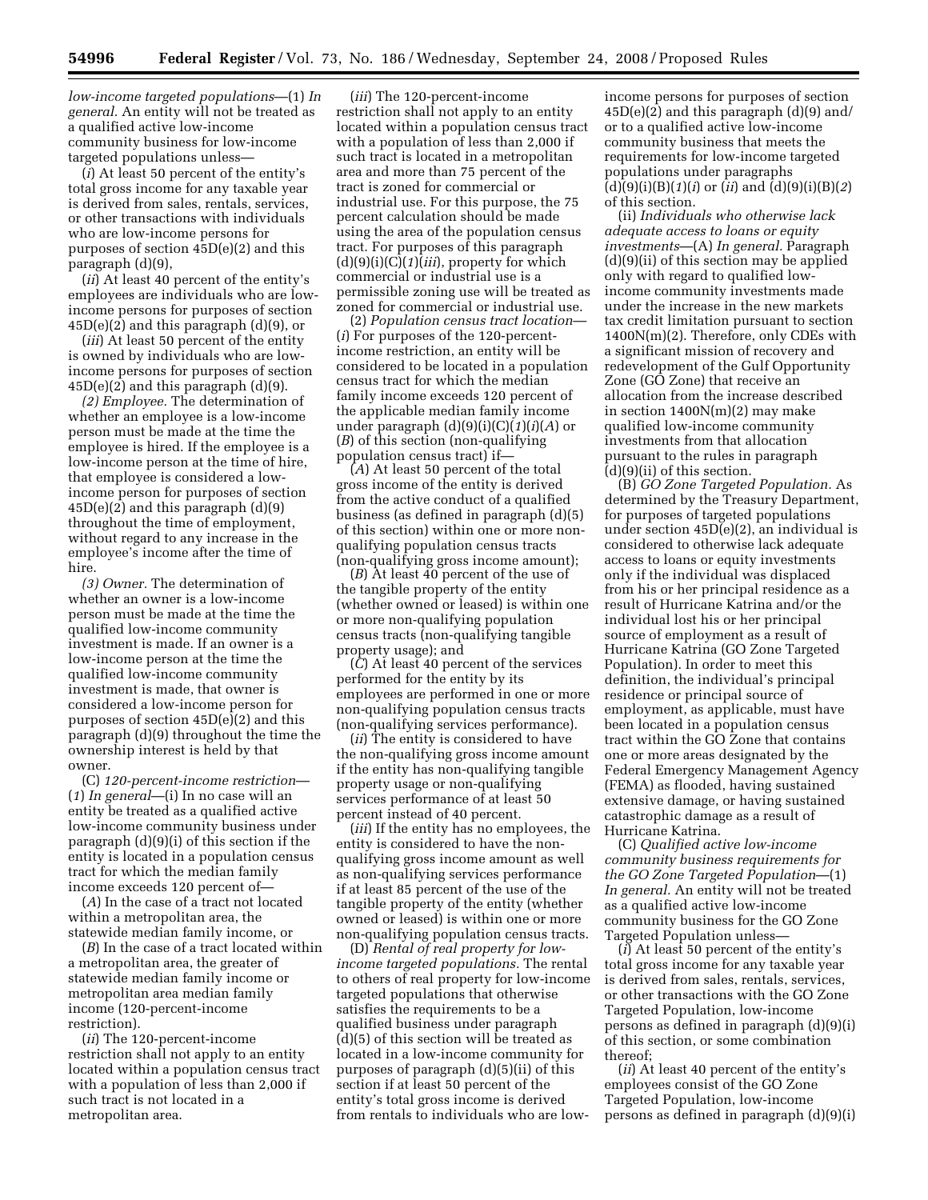*low-income targeted populations*—(1) *In general.* An entity will not be treated as a qualified active low-income community business for low-income targeted populations unless—

(*i*) At least 50 percent of the entity's total gross income for any taxable year is derived from sales, rentals, services, or other transactions with individuals who are low-income persons for purposes of section 45D(e)(2) and this paragraph (d)(9),

(*ii*) At least 40 percent of the entity's employees are individuals who are lowincome persons for purposes of section  $45D(e)(2)$  and this paragraph  $(d)(9)$ , or

(*iii*) At least 50 percent of the entity is owned by individuals who are lowincome persons for purposes of section  $45D(e)(2)$  and this paragraph  $(d)(9)$ .

*(2) Employee.* The determination of whether an employee is a low-income person must be made at the time the employee is hired. If the employee is a low-income person at the time of hire, that employee is considered a lowincome person for purposes of section  $45D(e)(2)$  and this paragraph  $(d)(9)$ throughout the time of employment, without regard to any increase in the employee's income after the time of hire.

*(3) Owner.* The determination of whether an owner is a low-income person must be made at the time the qualified low-income community investment is made. If an owner is a low-income person at the time the qualified low-income community investment is made, that owner is considered a low-income person for purposes of section 45D(e)(2) and this paragraph (d)(9) throughout the time the ownership interest is held by that owner.

(C) *120-percent-income restriction*— (*1*) *In general*—(i) In no case will an entity be treated as a qualified active low-income community business under paragraph (d)(9)(i) of this section if the entity is located in a population census tract for which the median family income exceeds 120 percent of—

(*A*) In the case of a tract not located within a metropolitan area, the statewide median family income, or

(*B*) In the case of a tract located within a metropolitan area, the greater of statewide median family income or metropolitan area median family income (120-percent-income restriction).

(*ii*) The 120-percent-income restriction shall not apply to an entity located within a population census tract with a population of less than 2,000 if such tract is not located in a metropolitan area.

(*iii*) The 120-percent-income restriction shall not apply to an entity located within a population census tract with a population of less than 2,000 if such tract is located in a metropolitan area and more than 75 percent of the tract is zoned for commercial or industrial use. For this purpose, the 75 percent calculation should be made using the area of the population census tract. For purposes of this paragraph (d)(9)(i)(C)(*1*)(*iii*), property for which commercial or industrial use is a permissible zoning use will be treated as zoned for commercial or industrial use.

(2) *Population census tract location*— (*i*) For purposes of the 120-percentincome restriction, an entity will be considered to be located in a population census tract for which the median family income exceeds 120 percent of the applicable median family income under paragraph (d)(9)(i)(C)(*1*)(*i*)(*A*) or (*B*) of this section (non-qualifying population census tract) if—

(*A*) At least 50 percent of the total gross income of the entity is derived from the active conduct of a qualified business (as defined in paragraph (d)(5) of this section) within one or more nonqualifying population census tracts (non-qualifying gross income amount);

(*B*) At least 40 percent of the use of the tangible property of the entity (whether owned or leased) is within one or more non-qualifying population census tracts (non-qualifying tangible property usage); and

(*C*) At least 40 percent of the services performed for the entity by its employees are performed in one or more non-qualifying population census tracts (non-qualifying services performance).

(*ii*) The entity is considered to have the non-qualifying gross income amount if the entity has non-qualifying tangible property usage or non-qualifying services performance of at least 50 percent instead of 40 percent.

(*iii*) If the entity has no employees, the entity is considered to have the nonqualifying gross income amount as well as non-qualifying services performance if at least 85 percent of the use of the tangible property of the entity (whether owned or leased) is within one or more non-qualifying population census tracts.

(D) *Rental of real property for lowincome targeted populations.* The rental to others of real property for low-income targeted populations that otherwise satisfies the requirements to be a qualified business under paragraph (d)(5) of this section will be treated as located in a low-income community for purposes of paragraph (d)(5)(ii) of this section if at least 50 percent of the entity's total gross income is derived from rentals to individuals who are lowincome persons for purposes of section  $45D(e)(2)$  and this paragraph  $(d)(9)$  and/ or to a qualified active low-income community business that meets the requirements for low-income targeted populations under paragraphs (d)(9)(i)(B)(*1*)(*i*) or (*ii*) and (d)(9)(i)(B)(*2*) of this section.

(ii) *Individuals who otherwise lack adequate access to loans or equity investments*—(A) *In general.* Paragraph (d)(9)(ii) of this section may be applied only with regard to qualified lowincome community investments made under the increase in the new markets tax credit limitation pursuant to section 1400N(m)(2). Therefore, only CDEs with a significant mission of recovery and redevelopment of the Gulf Opportunity Zone (GO Zone) that receive an allocation from the increase described in section 1400N(m)(2) may make qualified low-income community investments from that allocation pursuant to the rules in paragraph (d)(9)(ii) of this section.

(B) *GO Zone Targeted Population.* As determined by the Treasury Department, for purposes of targeted populations under section 45D(e)(2), an individual is considered to otherwise lack adequate access to loans or equity investments only if the individual was displaced from his or her principal residence as a result of Hurricane Katrina and/or the individual lost his or her principal source of employment as a result of Hurricane Katrina (GO Zone Targeted Population). In order to meet this definition, the individual's principal residence or principal source of employment, as applicable, must have been located in a population census tract within the GO Zone that contains one or more areas designated by the Federal Emergency Management Agency (FEMA) as flooded, having sustained extensive damage, or having sustained catastrophic damage as a result of Hurricane Katrina.

(C) *Qualified active low-income community business requirements for the GO Zone Targeted Population*—(1) *In general.* An entity will not be treated as a qualified active low-income community business for the GO Zone Targeted Population unless—

(*i*) At least 50 percent of the entity's total gross income for any taxable year is derived from sales, rentals, services, or other transactions with the GO Zone Targeted Population, low-income persons as defined in paragraph (d)(9)(i) of this section, or some combination thereof;

(*ii*) At least 40 percent of the entity's employees consist of the GO Zone Targeted Population, low-income persons as defined in paragraph (d)(9)(i)